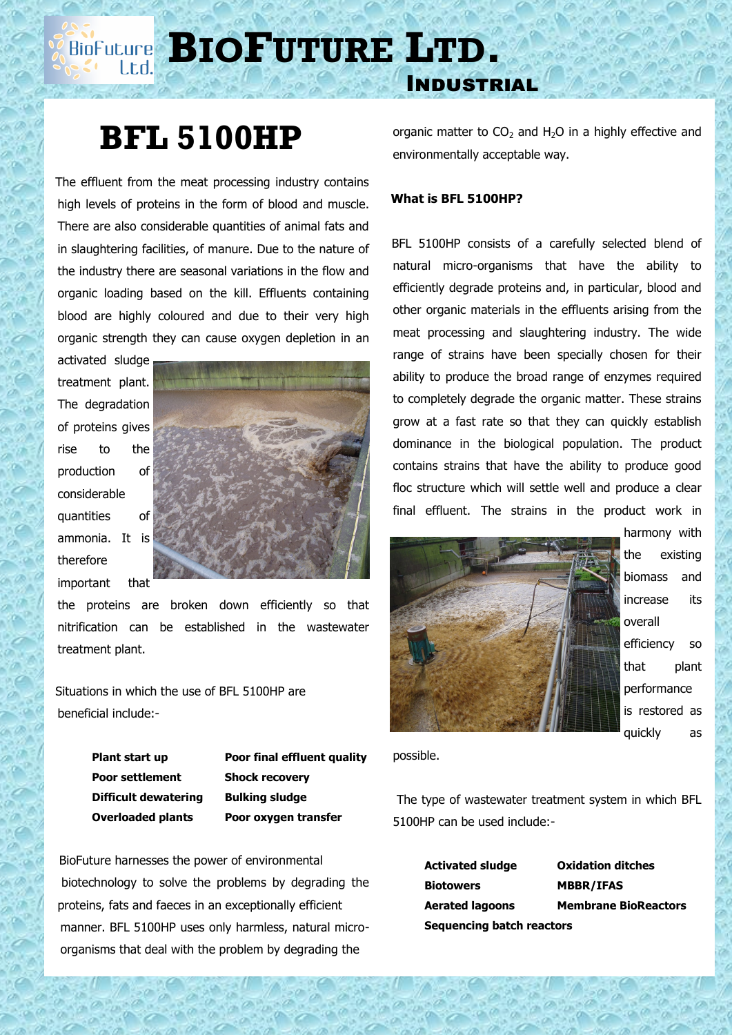# **BIOP BIOF UTURE LTD.**

## **BFL 5100HP**

 The effluent from the meat processing industry contains high levels of proteins in the form of blood and muscle. There are also considerable quantities of animal fats and in slaughtering facilities, of manure. Due to the nature of the industry there are seasonal variations in the flow and organic loading based on the kill. Effluents containing blood are highly coloured and due to their very high organic strength they can cause oxygen depletion in an

activated sludge treatment plant. The degradation of proteins gives rise to the production of considerable quantities of ammonia. It is therefore important that



the proteins are broken down efficiently so that nitrification can be established in the wastewater treatment plant.

 Situations in which the use of BFL 5100HP are beneficial include:-

> **Poor settlement Shock recovery Difficult dewatering Bulking sludge**

**Plant start up Poor final effluent quality Overloaded plants Poor oxygen transfer**

 BioFuture harnesses the power of environmental biotechnology to solve the problems by degrading the proteins, fats and faeces in an exceptionally efficient manner. BFL 5100HP uses only harmless, natural microorganisms that deal with the problem by degrading the

organic matter to  $CO<sub>2</sub>$  and H<sub>2</sub>O in a highly effective and environmentally acceptable way.

#### **What is BFL 5100HP?**

Industrial

 BFL 5100HP consists of a carefully selected blend of natural micro-organisms that have the ability to efficiently degrade proteins and, in particular, blood and other organic materials in the effluents arising from the meat processing and slaughtering industry. The wide range of strains have been specially chosen for their ability to produce the broad range of enzymes required to completely degrade the organic matter. These strains grow at a fast rate so that they can quickly establish dominance in the biological population. The product contains strains that have the ability to produce good floc structure which will settle well and produce a clear final effluent. The strains in the product work in



harmony with the existing biomass and increase its overall efficiency so that plant performance is restored as quickly as

possible.

The type of wastewater treatment system in which BFL 5100HP can be used include:-

> **Activated sludge Oxidation ditches Biotowers MBBR/IFAS Sequencing batch reactors**

**Aerated lagoons Membrane BioReactors**